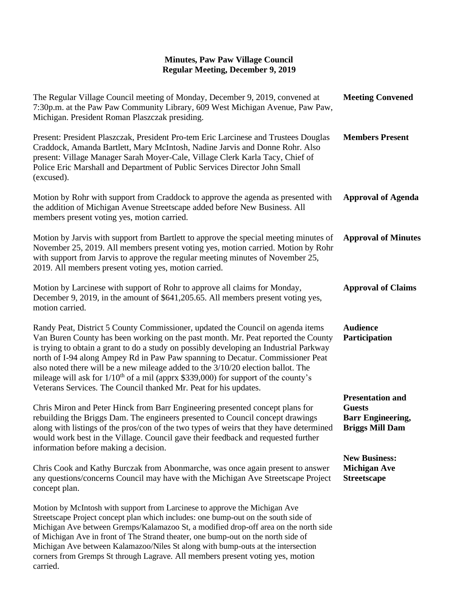| The Regular Village Council meeting of Monday, December 9, 2019, convened at<br>7:30p.m. at the Paw Paw Community Library, 609 West Michigan Avenue, Paw Paw,<br>Michigan. President Roman Plaszczak presiding.                                                                                                                                                                                                                                                                                                                                                                                            | <b>Meeting Convened</b>                                                                        |
|------------------------------------------------------------------------------------------------------------------------------------------------------------------------------------------------------------------------------------------------------------------------------------------------------------------------------------------------------------------------------------------------------------------------------------------------------------------------------------------------------------------------------------------------------------------------------------------------------------|------------------------------------------------------------------------------------------------|
| Present: President Plaszczak, President Pro-tem Eric Larcinese and Trustees Douglas<br>Craddock, Amanda Bartlett, Mary McIntosh, Nadine Jarvis and Donne Rohr. Also<br>present: Village Manager Sarah Moyer-Cale, Village Clerk Karla Tacy, Chief of<br>Police Eric Marshall and Department of Public Services Director John Small<br>(excused).                                                                                                                                                                                                                                                           | <b>Members Present</b>                                                                         |
| Motion by Rohr with support from Craddock to approve the agenda as presented with<br>the addition of Michigan Avenue Streetscape added before New Business. All<br>members present voting yes, motion carried.                                                                                                                                                                                                                                                                                                                                                                                             | <b>Approval of Agenda</b>                                                                      |
| Motion by Jarvis with support from Bartlett to approve the special meeting minutes of<br>November 25, 2019. All members present voting yes, motion carried. Motion by Rohr<br>with support from Jarvis to approve the regular meeting minutes of November 25,<br>2019. All members present voting yes, motion carried.                                                                                                                                                                                                                                                                                     | <b>Approval of Minutes</b>                                                                     |
| Motion by Larcinese with support of Rohr to approve all claims for Monday,<br>December 9, 2019, in the amount of \$641,205.65. All members present voting yes,<br>motion carried.                                                                                                                                                                                                                                                                                                                                                                                                                          | <b>Approval of Claims</b>                                                                      |
| Randy Peat, District 5 County Commissioner, updated the Council on agenda items<br>Van Buren County has been working on the past month. Mr. Peat reported the County<br>is trying to obtain a grant to do a study on possibly developing an Industrial Parkway<br>north of I-94 along Ampey Rd in Paw Paw spanning to Decatur. Commissioner Peat<br>also noted there will be a new mileage added to the 3/10/20 election ballot. The<br>mileage will ask for 1/10 <sup>th</sup> of a mil (apprx \$339,000) for support of the county's<br>Veterans Services. The Council thanked Mr. Peat for his updates. | <b>Audience</b><br>Participation                                                               |
| Chris Miron and Peter Hinck from Barr Engineering presented concept plans for<br>rebuilding the Briggs Dam. The engineers presented to Council concept drawings<br>along with listings of the pros/con of the two types of weirs that they have determined<br>would work best in the Village. Council gave their feedback and requested further<br>information before making a decision.                                                                                                                                                                                                                   | <b>Presentation and</b><br><b>Guests</b><br><b>Barr Engineering,</b><br><b>Briggs Mill Dam</b> |
| Chris Cook and Kathy Burczak from Abonmarche, was once again present to answer<br>any questions/concerns Council may have with the Michigan Ave Streetscape Project<br>concept plan.                                                                                                                                                                                                                                                                                                                                                                                                                       | <b>New Business:</b><br><b>Michigan Ave</b><br><b>Streetscape</b>                              |
| Motion by McIntosh with support from Larcinese to approve the Michigan Ave<br>Streetscape Project concept plan which includes: one bump-out on the south side of<br>Michigan Ave between Gremps/Kalamazoo St, a modified drop-off area on the north side<br>of Michigan Ave in front of The Strand theater, one bump-out on the north side of<br>Michigan Ave between Kalamazoo/Niles St along with bump-outs at the intersection<br>corners from Gremps St through Lagrave. All members present voting yes, motion                                                                                        |                                                                                                |

carried.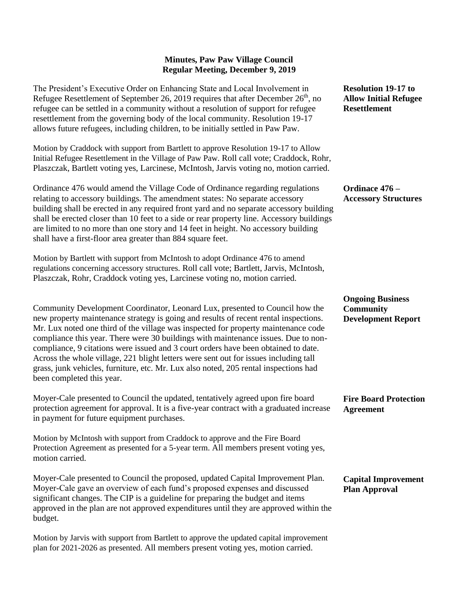The President's Executive Order on Enhancing State and Local Involvement in Refugee Resettlement of September 26, 2019 requires that after December  $26<sup>th</sup>$ , no refugee can be settled in a community without a resolution of support for refugee resettlement from the governing body of the local community. Resolution 19-17 allows future refugees, including children, to be initially settled in Paw Paw.

Motion by Craddock with support from Bartlett to approve Resolution 19-17 to Allow Initial Refugee Resettlement in the Village of Paw Paw. Roll call vote; Craddock, Rohr, Plaszczak, Bartlett voting yes, Larcinese, McIntosh, Jarvis voting no, motion carried.

Ordinance 476 would amend the Village Code of Ordinance regarding regulations relating to accessory buildings. The amendment states: No separate accessory building shall be erected in any required front yard and no separate accessory building shall be erected closer than 10 feet to a side or rear property line. Accessory buildings are limited to no more than one story and 14 feet in height. No accessory building shall have a first-floor area greater than 884 square feet.

Motion by Bartlett with support from McIntosh to adopt Ordinance 476 to amend regulations concerning accessory structures. Roll call vote; Bartlett, Jarvis, McIntosh, Plaszczak, Rohr, Craddock voting yes, Larcinese voting no, motion carried.

Community Development Coordinator, Leonard Lux, presented to Council how the new property maintenance strategy is going and results of recent rental inspections. Mr. Lux noted one third of the village was inspected for property maintenance code compliance this year. There were 30 buildings with maintenance issues. Due to noncompliance, 9 citations were issued and 3 court orders have been obtained to date. Across the whole village, 221 blight letters were sent out for issues including tall grass, junk vehicles, furniture, etc. Mr. Lux also noted, 205 rental inspections had been completed this year.

Moyer-Cale presented to Council the updated, tentatively agreed upon fire board protection agreement for approval. It is a five-year contract with a graduated increase in payment for future equipment purchases.

Motion by McIntosh with support from Craddock to approve and the Fire Board Protection Agreement as presented for a 5-year term. All members present voting yes, motion carried.

Moyer-Cale presented to Council the proposed, updated Capital Improvement Plan. Moyer-Cale gave an overview of each fund's proposed expenses and discussed significant changes. The CIP is a guideline for preparing the budget and items approved in the plan are not approved expenditures until they are approved within the budget.

Motion by Jarvis with support from Bartlett to approve the updated capital improvement plan for 2021-2026 as presented. All members present voting yes, motion carried.

**Resolution 19-17 to Allow Initial Refugee Resettlement**

**Ordinace 476 – Accessory Structures**

**Ongoing Business Community Development Report**

**Fire Board Protection Agreement**

#### **Capital Improvement Plan Approval**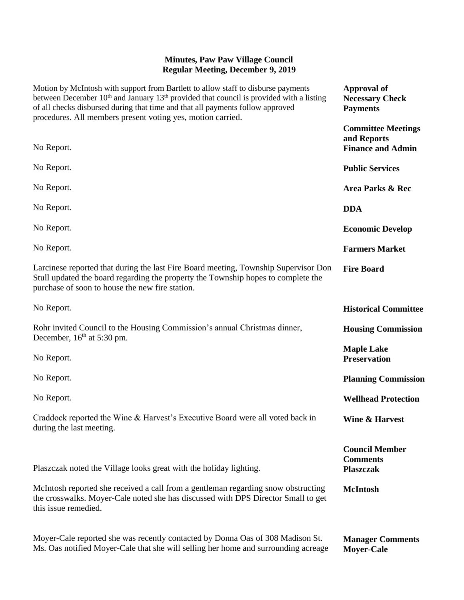| Motion by McIntosh with support from Bartlett to allow staff to disburse payments<br>between December 10 <sup>th</sup> and January 13 <sup>th</sup> provided that council is provided with a listing<br>of all checks disbursed during that time and that all payments follow approved<br>procedures. All members present voting yes, motion carried. | <b>Approval of</b><br><b>Necessary Check</b><br><b>Payments</b>      |
|-------------------------------------------------------------------------------------------------------------------------------------------------------------------------------------------------------------------------------------------------------------------------------------------------------------------------------------------------------|----------------------------------------------------------------------|
| No Report.                                                                                                                                                                                                                                                                                                                                            | <b>Committee Meetings</b><br>and Reports<br><b>Finance and Admin</b> |
| No Report.                                                                                                                                                                                                                                                                                                                                            | <b>Public Services</b>                                               |
| No Report.                                                                                                                                                                                                                                                                                                                                            | Area Parks & Rec                                                     |
| No Report.                                                                                                                                                                                                                                                                                                                                            | <b>DDA</b>                                                           |
| No Report.                                                                                                                                                                                                                                                                                                                                            | <b>Economic Develop</b>                                              |
| No Report.                                                                                                                                                                                                                                                                                                                                            | <b>Farmers Market</b>                                                |
| Larcinese reported that during the last Fire Board meeting, Township Supervisor Don<br>Stull updated the board regarding the property the Township hopes to complete the<br>purchase of soon to house the new fire station.                                                                                                                           | <b>Fire Board</b>                                                    |
| No Report.                                                                                                                                                                                                                                                                                                                                            | <b>Historical Committee</b>                                          |
| Rohr invited Council to the Housing Commission's annual Christmas dinner,<br>December, $16th$ at 5:30 pm.                                                                                                                                                                                                                                             | <b>Housing Commission</b>                                            |
| No Report.                                                                                                                                                                                                                                                                                                                                            | <b>Maple Lake</b><br><b>Preservation</b>                             |
| No Report.                                                                                                                                                                                                                                                                                                                                            | <b>Planning Commission</b>                                           |
| No Report.                                                                                                                                                                                                                                                                                                                                            | <b>Wellhead Protection</b>                                           |
| Craddock reported the Wine & Harvest's Executive Board were all voted back in<br>during the last meeting.                                                                                                                                                                                                                                             | Wine & Harvest                                                       |
| Plaszczak noted the Village looks great with the holiday lighting.                                                                                                                                                                                                                                                                                    | <b>Council Member</b><br><b>Comments</b><br><b>Plaszczak</b>         |
| McIntosh reported she received a call from a gentleman regarding snow obstructing<br>the crosswalks. Moyer-Cale noted she has discussed with DPS Director Small to get<br>this issue remedied.                                                                                                                                                        | <b>McIntosh</b>                                                      |
| Moyer-Cale reported she was recently contacted by Donna Oas of 308 Madison St.                                                                                                                                                                                                                                                                        | <b>Manager Comments</b>                                              |

Ms. Oas notified Moyer-Cale that she will selling her home and surrounding acreage

**Moyer-Cale**